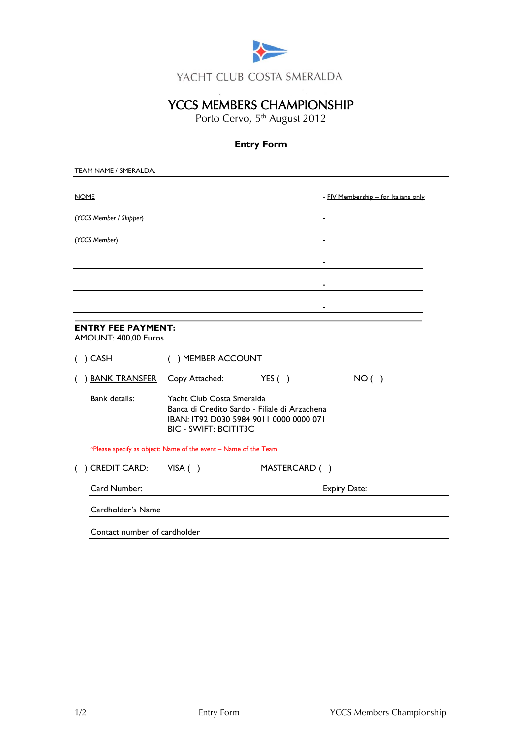

# YCCS MEMBERS CHAMPIONSHIP

Porto Cervo, 5<sup>th</sup> August 2012

# **Entry Form**

| <b>NOME</b>                                       |                                                                                                                                                       |                     | - FIV Membership - for Italians only |
|---------------------------------------------------|-------------------------------------------------------------------------------------------------------------------------------------------------------|---------------------|--------------------------------------|
| (YCCS Member / Skipper)                           |                                                                                                                                                       |                     | $\blacksquare$                       |
| (YCCS Member)                                     |                                                                                                                                                       |                     |                                      |
|                                                   |                                                                                                                                                       |                     | $\blacksquare$                       |
|                                                   |                                                                                                                                                       |                     |                                      |
|                                                   |                                                                                                                                                       |                     |                                      |
| <b>ENTRY FEE PAYMENT:</b><br>AMOUNT: 400,00 Euros |                                                                                                                                                       |                     |                                      |
| $( )$ CASH                                        | () MEMBER ACCOUNT                                                                                                                                     |                     |                                      |
| <u>BANK TRANSFER</u>                              | Copy Attached:                                                                                                                                        | YES( )              | NO( )                                |
| Bank details:                                     | Yacht Club Costa Smeralda<br>Banca di Credito Sardo - Filiale di Arzachena<br>IBAN: IT92 D030 5984 9011 0000 0000 071<br><b>BIC - SWIFT: BCITIT3C</b> |                     |                                      |
|                                                   | *Please specify as object: Name of the event - Name of the Team                                                                                       |                     |                                      |
| ) CREDIT CARD:                                    | VISA()                                                                                                                                                | MASTERCARD ()       |                                      |
|                                                   |                                                                                                                                                       | <b>Expiry Date:</b> |                                      |